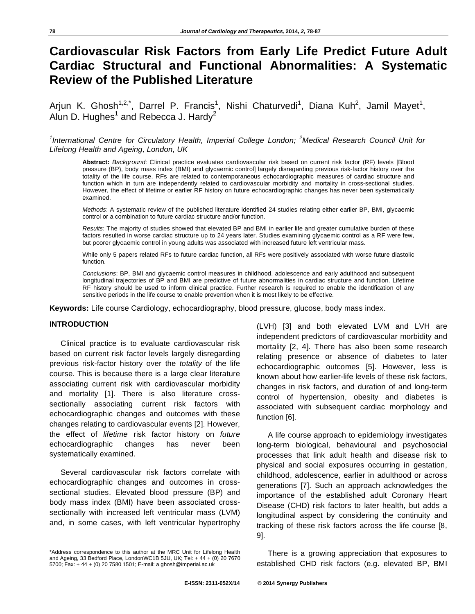# **Cardiovascular Risk Factors from Early Life Predict Future Adult Cardiac Structural and Functional Abnormalities: A Systematic Review of the Published Literature**

Arjun K. Ghosh<sup>1,2,\*</sup>, Darrel P. Francis<sup>1</sup>, Nishi Chaturvedi<sup>1</sup>, Diana Kuh<sup>2</sup>, Jamil Mayet<sup>1</sup>, Alun D. Hughes<sup>1</sup> and Rebecca J. Hardy<sup>2</sup>

<sup>1</sup>International Centre for Circulatory Health, Imperial College London; <sup>2</sup>Medical Research Council Unit for *Lifelong Health and Ageing, London, UK* 

**Abstract:** *Background*: Clinical practice evaluates cardiovascular risk based on current risk factor (RF) levels [Blood pressure (BP), body mass index (BMI) and glycaemic control] largely disregarding previous risk-factor history over the totality of the life course. RFs are related to contemporaneous echocardiographic measures of cardiac structure and function which in turn are independently related to cardiovascular morbidity and mortality in cross-sectional studies. However, the effect of lifetime or earlier RF history on future echocardiographic changes has never been systematically examined.

*Methods*: A systematic review of the published literature identified 24 studies relating either earlier BP, BMI, glycaemic control or a combination to future cardiac structure and/or function.

*Results*: The majority of studies showed that elevated BP and BMI in earlier life and greater cumulative burden of these factors resulted in worse cardiac structure up to 24 years later. Studies examining glycaemic control as a RF were few, but poorer glycaemic control in young adults was associated with increased future left ventricular mass.

While only 5 papers related RFs to future cardiac function, all RFs were positively associated with worse future diastolic function.

*Conclusions*: BP, BMI and glycaemic control measures in childhood, adolescence and early adulthood and subsequent longitudinal trajectories of BP and BMI are predictive of future abnormalities in cardiac structure and function. Lifetime RF history should be used to inform clinical practice. Further research is required to enable the identification of any sensitive periods in the life course to enable prevention when it is most likely to be effective.

**Keywords:** Life course Cardiology, echocardiography, blood pressure, glucose, body mass index.

# **INTRODUCTION**

Clinical practice is to evaluate cardiovascular risk based on current risk factor levels largely disregarding previous risk-factor history over the *totality* of the life course. This is because there is a large clear literature associating current risk with cardiovascular morbidity and mortality [1]. There is also literature crosssectionally associating current risk factors with echocardiographic changes and outcomes with these changes relating to cardiovascular events [2]. However, the effect of *lifetime* risk factor history on *future*  echocardiographic changes has never been systematically examined.

Several cardiovascular risk factors correlate with echocardiographic changes and outcomes in crosssectional studies. Elevated blood pressure (BP) and body mass index (BMI) have been associated crosssectionally with increased left ventricular mass (LVM) and, in some cases, with left ventricular hypertrophy

(LVH) [3] and both elevated LVM and LVH are independent predictors of cardiovascular morbidity and mortality [2, 4]. There has also been some research relating presence or absence of diabetes to later echocardiographic outcomes [5]. However, less is known about how earlier-life levels of these risk factors, changes in risk factors, and duration of and long-term control of hypertension, obesity and diabetes is associated with subsequent cardiac morphology and function [6].

A life course approach to epidemiology investigates long-term biological, behavioural and psychosocial processes that link adult health and disease risk to physical and social exposures occurring in gestation, childhood, adolescence, earlier in adulthood or across generations [7]. Such an approach acknowledges the importance of the established adult Coronary Heart Disease (CHD) risk factors to later health, but adds a longitudinal aspect by considering the continuity and tracking of these risk factors across the life course [8, 9].

There is a growing appreciation that exposures to established CHD risk factors (e.g. elevated BP, BMI

<sup>\*</sup>Address correspondence to this author at the MRC Unit for Lifelong Health and Ageing, 33 Bedford Place, LondonWC1B 5JU, UK; Tel: + 44 + (0) 20 7670 5700; Fax: + 44 + (0) 20 7580 1501; E-mail: a.ghosh@imperial.ac.uk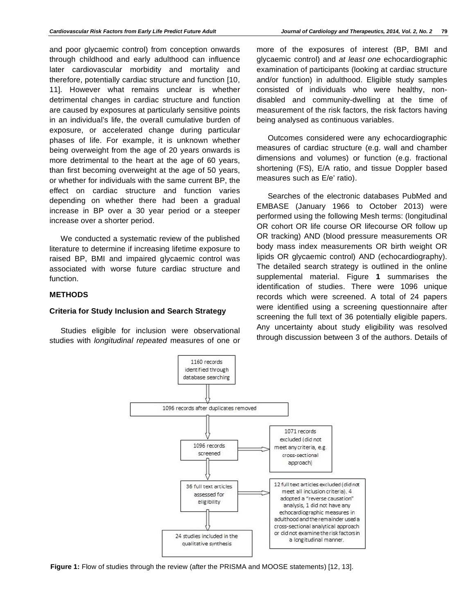and poor glycaemic control) from conception onwards through childhood and early adulthood can influence later cardiovascular morbidity and mortality and therefore, potentially cardiac structure and function [10, 11]. However what remains unclear is whether detrimental changes in cardiac structure and function are caused by exposures at particularly sensitive points in an individual's life, the overall cumulative burden of exposure, or accelerated change during particular phases of life. For example, it is unknown whether being overweight from the age of 20 years onwards is more detrimental to the heart at the age of 60 years, than first becoming overweight at the age of 50 years, or whether for individuals with the same current BP, the effect on cardiac structure and function varies depending on whether there had been a gradual increase in BP over a 30 year period or a steeper increase over a shorter period.

We conducted a systematic review of the published literature to determine if increasing lifetime exposure to raised BP, BMI and impaired glycaemic control was associated with worse future cardiac structure and function.

#### **METHODS**

#### **Criteria for Study Inclusion and Search Strategy**

Studies eligible for inclusion were observational studies with *longitudinal repeated* measures of one or

more of the exposures of interest (BP, BMI and glycaemic control) and *at least one* echocardiographic examination of participants (looking at cardiac structure and/or function) in adulthood. Eligible study samples consisted of individuals who were healthy, nondisabled and community-dwelling at the time of measurement of the risk factors, the risk factors having being analysed as continuous variables.

Outcomes considered were any echocardiographic measures of cardiac structure (e.g. wall and chamber dimensions and volumes) or function (e.g. fractional shortening (FS), E/A ratio, and tissue Doppler based measures such as E/e' ratio).

Searches of the electronic databases PubMed and EMBASE (January 1966 to October 2013) were performed using the following Mesh terms: (longitudinal OR cohort OR life course OR lifecourse OR follow up OR tracking) AND (blood pressure measurements OR body mass index measurements OR birth weight OR lipids OR glycaemic control) AND (echocardiography). The detailed search strategy is outlined in the online supplemental material. Figure **1** summarises the identification of studies. There were 1096 unique records which were screened. A total of 24 papers were identified using a screening questionnaire after screening the full text of 36 potentially eligible papers. Any uncertainty about study eligibility was resolved through discussion between 3 of the authors. Details of



**Figure 1:** Flow of studies through the review (after the PRISMA and MOOSE statements) [12, 13].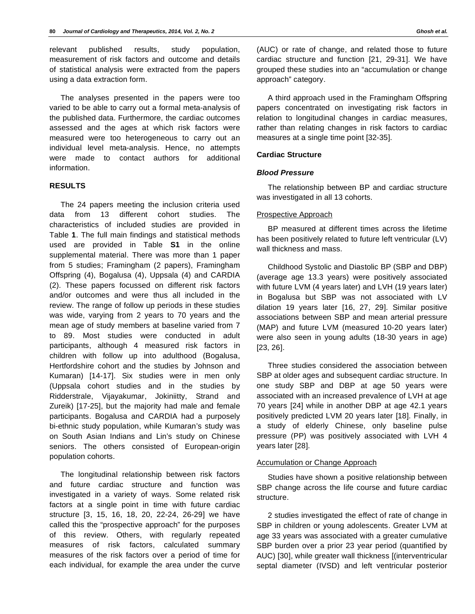relevant published results, study population, measurement of risk factors and outcome and details of statistical analysis were extracted from the papers using a data extraction form.

The analyses presented in the papers were too varied to be able to carry out a formal meta-analysis of the published data. Furthermore, the cardiac outcomes assessed and the ages at which risk factors were measured were too heterogeneous to carry out an individual level meta-analysis. Hence, no attempts were made to contact authors for additional information.

#### **RESULTS**

The 24 papers meeting the inclusion criteria used data from 13 different cohort studies. The characteristics of included studies are provided in Table **1**. The full main findings and statistical methods used are provided in Table **S1** in the online supplemental material. There was more than 1 paper from 5 studies; Framingham (2 papers), Framingham Offspring (4), Bogalusa (4), Uppsala (4) and CARDIA (2). These papers focussed on different risk factors and/or outcomes and were thus all included in the review. The range of follow up periods in these studies was wide, varying from 2 years to 70 years and the mean age of study members at baseline varied from 7 to 89. Most studies were conducted in adult participants, although 4 measured risk factors in children with follow up into adulthood (Bogalusa, Hertfordshire cohort and the studies by Johnson and Kumaran) [14-17]. Six studies were in men only (Uppsala cohort studies and in the studies by Ridderstrale, Vijayakumar, Jokiniitty, Strand and Zureik) [17-25], but the majority had male and female participants. Bogalusa and CARDIA had a purposely bi-ethnic study population, while Kumaran's study was on South Asian Indians and Lin's study on Chinese seniors. The others consisted of European-origin population cohorts.

The longitudinal relationship between risk factors and future cardiac structure and function was investigated in a variety of ways. Some related risk factors at a single point in time with future cardiac structure [3, 15, 16, 18, 20, 22-24, 26-29] we have called this the "prospective approach" for the purposes of this review. Others, with regularly repeated measures of risk factors, calculated summary measures of the risk factors over a period of time for each individual, for example the area under the curve

(AUC) or rate of change, and related those to future cardiac structure and function [21, 29-31]. We have grouped these studies into an "accumulation or change approach" category.

A third approach used in the Framingham Offspring papers concentrated on investigating risk factors in relation to longitudinal changes in cardiac measures, rather than relating changes in risk factors to cardiac measures at a single time point [32-35].

# **Cardiac Structure**

#### *Blood Pressure*

The relationship between BP and cardiac structure was investigated in all 13 cohorts.

#### Prospective Approach

BP measured at different times across the lifetime has been positively related to future left ventricular (LV) wall thickness and mass.

Childhood Systolic and Diastolic BP (SBP and DBP) (average age 13.3 years) were positively associated with future LVM (4 years later) and LVH (19 years later) in Bogalusa but SBP was not associated with LV dilation 19 years later [16, 27, 29]. Similar positive associations between SBP and mean arterial pressure (MAP) and future LVM (measured 10-20 years later) were also seen in young adults (18-30 years in age) [23, 26].

Three studies considered the association between SBP at older ages and subsequent cardiac structure. In one study SBP and DBP at age 50 years were associated with an increased prevalence of LVH at age 70 years [24] while in another DBP at age 42.1 years positively predicted LVM 20 years later [18]. Finally, in a study of elderly Chinese, only baseline pulse pressure (PP) was positively associated with LVH 4 years later [28].

#### Accumulation or Change Approach

Studies have shown a positive relationship between SBP change across the life course and future cardiac structure.

2 studies investigated the effect of rate of change in SBP in children or young adolescents. Greater LVM at age 33 years was associated with a greater cumulative SBP burden over a prior 23 year period (quantified by AUC) [30], while greater wall thickness [(interventricular septal diameter (IVSD) and left ventricular posterior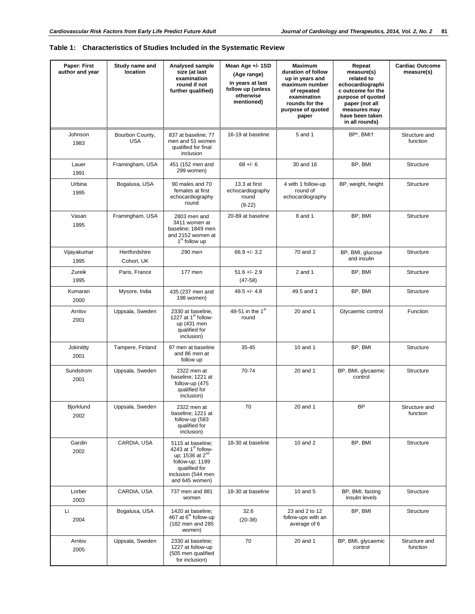| Paper: First<br>author and year | Study name and<br>location  | Analysed sample<br>size (at last<br>examination<br>round if not<br>further qualified)                                                                           | Mean Age +/- 1SD<br>(Age range)<br>in years at last<br>follow up (unless<br>otherwise<br>mentioned) | <b>Maximum</b><br>duration of follow<br>up in years and<br>maximum number<br>of repeated<br>examination<br>rounds for the<br>purpose of quoted<br>paper | Repeat<br>measure(s)<br>related to<br>echocardiographi<br>c outcome for the<br>purpose of quoted<br>paper (not all<br>measures may<br>have been taken<br>in all rounds) | <b>Cardiac Outcome</b><br>measure(s) |
|---------------------------------|-----------------------------|-----------------------------------------------------------------------------------------------------------------------------------------------------------------|-----------------------------------------------------------------------------------------------------|---------------------------------------------------------------------------------------------------------------------------------------------------------|-------------------------------------------------------------------------------------------------------------------------------------------------------------------------|--------------------------------------|
| Johnson<br>1983                 | Bourbon County,<br>USA      | 837 at baseline; 77<br>men and 51 women<br>qualified for final<br>inclusion                                                                                     | 16-19 at baseline                                                                                   | 5 and 1                                                                                                                                                 | BP*, BMI+                                                                                                                                                               | Structure and<br>function            |
| Lauer<br>1991                   | Framingham, USA             | 451 (152 men and<br>299 women)                                                                                                                                  | $68 + - 6$                                                                                          | 30 and 16                                                                                                                                               | BP, BMI                                                                                                                                                                 | <b>Structure</b>                     |
| Urbina<br>1995                  | Bogalusa, USA               | 90 males and 70<br>females at first<br>echocardiography<br>round                                                                                                | 13.3 at first<br>echocardiography<br>round<br>$(9-22)$                                              | 4 with 1 follow-up<br>round of<br>echocardiography                                                                                                      | BP, weight, height                                                                                                                                                      | <b>Structure</b>                     |
| Vasan<br>1995                   | Framingham, USA             | 2803 men and<br>3411 women at<br>baseline; 1849 men<br>and 2152 women at<br>1 <sup>st</sup> follow up                                                           | 20-89 at baseline                                                                                   | 8 and 1                                                                                                                                                 | BP, BMI                                                                                                                                                                 | <b>Structure</b>                     |
| Vijayakumar<br>1995             | Hertfordshire<br>Cohort, UK | 290 men                                                                                                                                                         | $66.9 + - 3.2$                                                                                      | 70 and 2                                                                                                                                                | BP, BMI, glucose<br>and insulin                                                                                                                                         | <b>Structure</b>                     |
| Zureik<br>1995                  | Paris, France               | 177 men                                                                                                                                                         | $51.6 + - 2.9$<br>$(47-58)$                                                                         | $2$ and 1                                                                                                                                               | BP, BMI                                                                                                                                                                 | <b>Structure</b>                     |
| Kumaran<br>2000                 | Mysore, India               | 435 (237 men and<br>198 women)                                                                                                                                  | $49.5 + 4.8$                                                                                        | 49.5 and 1                                                                                                                                              | BP, BMI                                                                                                                                                                 | <b>Structure</b>                     |
| Arnlov<br>2001                  | Uppsala, Sweden             | 2330 at baseline,<br>1227 at 1 <sup>st</sup> follow-<br>up (431 men<br>qualified for<br>inclusion)                                                              | 48-51 in the 1 <sup>st</sup><br>round                                                               | 20 and 1                                                                                                                                                | Glycaemic control                                                                                                                                                       | Function                             |
| Jokiniitty<br>2001              | Tampere, Finland            | 97 men at baseline<br>and 86 men at<br>follow up                                                                                                                | 35-45                                                                                               | 10 and 1                                                                                                                                                | BP, BMI                                                                                                                                                                 | <b>Structure</b>                     |
| Sundstrom<br>2001               | Uppsala, Sweden             | 2322 men at<br>baseline; 1221 at<br>follow-up (475<br>qualified for<br>inclusion)                                                                               | 70-74                                                                                               | 20 and 1                                                                                                                                                | BP, BMI, glycaemic<br>control                                                                                                                                           | <b>Structure</b>                     |
| Bjorklund<br>2002               | Uppsala, Sweden             | 2322 men at<br>baseline; 1221 at<br>follow-up (583<br>qualified for<br>inclusion)                                                                               | 70                                                                                                  | 20 and 1                                                                                                                                                | BP                                                                                                                                                                      | Structure and<br>function            |
| Gardin<br>2002                  | CARDIA, USA                 | 5115 at baseline;<br>4243 at 1 <sup>st</sup> follow-<br>up; 1536 at 2 <sup>nd</sup><br>follow-up; 1189<br>qualified for<br>inclusion (544 men<br>and 645 women) | 18-30 at baseline                                                                                   | 10 and 2                                                                                                                                                | BP, BMI                                                                                                                                                                 | <b>Structure</b>                     |
| Lorber<br>2003                  | CARDIA, USA                 | 737 men and 881<br>women                                                                                                                                        | 18-30 at baseline                                                                                   | 10 and 5                                                                                                                                                | BP, BMI, fasting<br>insulin levels                                                                                                                                      | Structure                            |
| Li<br>2004                      | Bogalusa, USA               | 1420 at baseline;<br>467 at 6 <sup>th</sup> follow-up<br>(182 men and 285<br>women)                                                                             | 32.6<br>$(20-38)$                                                                                   | 23 and 2 to 12<br>follow-ups with an<br>average of 6                                                                                                    | BP, BMI                                                                                                                                                                 | Structure                            |
| Arnlov<br>2005                  | Uppsala, Sweden             | 2330 at baseline;<br>1227 at follow-up<br>(505 men qualified<br>for inclusion)                                                                                  | 70                                                                                                  | 20 and 1                                                                                                                                                | BP, BMI, glycaemic<br>control                                                                                                                                           | Structure and<br>function            |

# **Table 1: Characteristics of Studies Included in the Systematic Review**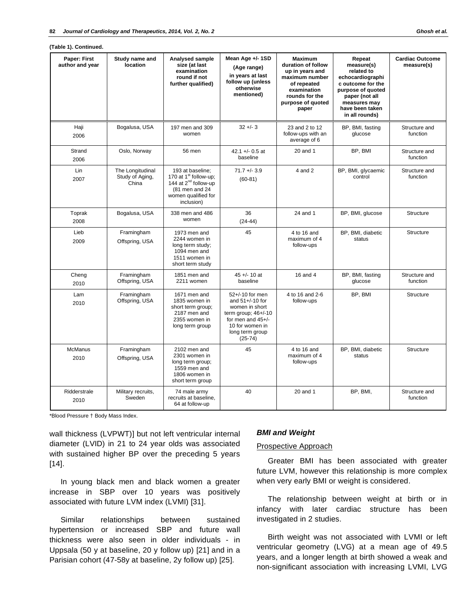| Paper: First           | Study name and                               | Analysed sample                                                                                                                                  | Mean Age +/- 1SD                                                                                                                                       | <b>Maximum</b>                                                                                                                        | Repeat                                                                                                                                                        | <b>Cardiac Outcome</b>    |
|------------------------|----------------------------------------------|--------------------------------------------------------------------------------------------------------------------------------------------------|--------------------------------------------------------------------------------------------------------------------------------------------------------|---------------------------------------------------------------------------------------------------------------------------------------|---------------------------------------------------------------------------------------------------------------------------------------------------------------|---------------------------|
| author and year        | location                                     | size (at last<br>examination<br>round if not<br>further qualified)                                                                               | (Age range)<br>in years at last<br>follow up (unless<br>otherwise<br>mentioned)                                                                        | duration of follow<br>up in years and<br>maximum number<br>of repeated<br>examination<br>rounds for the<br>purpose of quoted<br>paper | measure(s)<br>related to<br>echocardiographi<br>c outcome for the<br>purpose of quoted<br>paper (not all<br>measures may<br>have been taken<br>in all rounds) | measure(s)                |
| Haji<br>2006           | Bogalusa, USA                                | 197 men and 309<br>women                                                                                                                         | $32 + - 3$                                                                                                                                             | 23 and 2 to 12<br>follow-ups with an<br>average of 6                                                                                  | BP, BMI, fasting<br>glucose                                                                                                                                   | Structure and<br>function |
| Strand<br>2006         | Oslo, Norway                                 | 56 men                                                                                                                                           | 42.1 +/- 0.5 at<br>baseline                                                                                                                            | $20$ and 1                                                                                                                            | BP, BMI                                                                                                                                                       | Structure and<br>function |
| Lin<br>2007            | The Longitudinal<br>Study of Aging,<br>China | 193 at baseline;<br>170 at 1 <sup>st</sup> follow-up;<br>144 at 2 <sup>nd</sup> follow-up<br>(81 men and 24<br>women qualified for<br>inclusion) | $71.7 + - 3.9$<br>$(60-81)$                                                                                                                            | $4$ and $2$                                                                                                                           | BP, BMI, glycaemic<br>control                                                                                                                                 | Structure and<br>function |
| Toprak<br>2008         | Bogalusa, USA                                | 338 men and 486<br>women                                                                                                                         | 36<br>$(24-44)$                                                                                                                                        | 24 and 1                                                                                                                              | BP, BMI, glucose                                                                                                                                              | <b>Structure</b>          |
| Lieb<br>2009           | Framingham<br>Offspring, USA                 | 1973 men and<br>2244 women in<br>long term study;<br>1094 men and<br>1511 women in<br>short term study                                           | 45                                                                                                                                                     | 4 to 16 and<br>maximum of 4<br>follow-ups                                                                                             | BP, BMI, diabetic<br>status                                                                                                                                   | <b>Structure</b>          |
| Cheng<br>2010          | Framingham<br>Offspring, USA                 | 1851 men and<br>2211 women                                                                                                                       | $45 + (-10)$ at<br>baseline                                                                                                                            | 16 and 4                                                                                                                              | BP, BMI, fasting<br>glucose                                                                                                                                   | Structure and<br>function |
| Lam<br>2010            | Framingham<br>Offspring, USA                 | 1671 men and<br>1835 women in<br>short term group;<br>2187 men and<br>2355 women in<br>long term group                                           | 52+/-10 for men<br>and $51+/10$ for<br>women in short<br>term group; $46+/10$<br>for men and $45+/$<br>10 for women in<br>long term group<br>$(25-74)$ | 4 to 16 and 2-6<br>follow-ups                                                                                                         | BP, BMI                                                                                                                                                       | Structure                 |
| <b>McManus</b><br>2010 | Framingham<br>Offspring, USA                 | 2102 men and<br>2301 women in<br>long term group;<br>1559 men and<br>1806 women in<br>short term group                                           | 45                                                                                                                                                     | 4 to 16 and<br>maximum of 4<br>follow-ups                                                                                             | BP, BMI, diabetic<br>status                                                                                                                                   | Structure                 |
| Ridderstrale<br>2010   | Military recruits,<br>Sweden                 | 74 male army<br>recruits at baseline,<br>64 at follow-up                                                                                         | 40                                                                                                                                                     | 20 and 1                                                                                                                              | BP, BMI,                                                                                                                                                      | Structure and<br>function |

\*Blood Pressure † Body Mass Index.

wall thickness (LVPWT)] but not left ventricular internal diameter (LVID) in 21 to 24 year olds was associated with sustained higher BP over the preceding 5 years [14].

In young black men and black women a greater increase in SBP over 10 years was positively associated with future LVM index (LVMI) [31].

Similar relationships between sustained hypertension or increased SBP and future wall thickness were also seen in older individuals - in Uppsala (50 y at baseline, 20 y follow up) [21] and in a Parisian cohort (47-58y at baseline, 2y follow up) [25].

#### *BMI and Weight*

#### Prospective Approach

Greater BMI has been associated with greater future LVM, however this relationship is more complex when very early BMI or weight is considered.

The relationship between weight at birth or in infancy with later cardiac structure has been investigated in 2 studies.

Birth weight was not associated with LVMI or left ventricular geometry (LVG) at a mean age of 49.5 years, and a longer length at birth showed a weak and non-significant association with increasing LVMI, LVG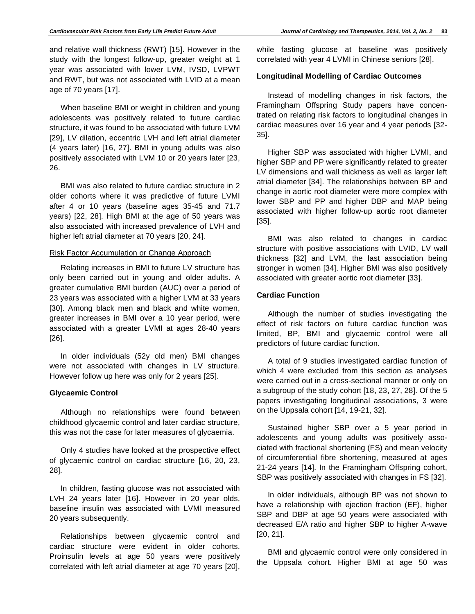and relative wall thickness (RWT) [15]. However in the study with the longest follow-up, greater weight at 1 year was associated with lower LVM, IVSD, LVPWT and RWT, but was not associated with LVID at a mean age of 70 years [17].

When baseline BMI or weight in children and young adolescents was positively related to future cardiac structure, it was found to be associated with future LVM [29], LV dilation, eccentric LVH and left atrial diameter (4 years later) [16, 27]. BMI in young adults was also positively associated with LVM 10 or 20 years later [23, 26.

BMI was also related to future cardiac structure in 2 older cohorts where it was predictive of future LVMI after 4 or 10 years (baseline ages 35-45 and 71.7 years) [22, 28]. High BMI at the age of 50 years was also associated with increased prevalence of LVH and higher left atrial diameter at 70 years [20, 24].

# Risk Factor Accumulation or Change Approach

Relating increases in BMI to future LV structure has only been carried out in young and older adults. A greater cumulative BMI burden (AUC) over a period of 23 years was associated with a higher LVM at 33 years [30]. Among black men and black and white women, greater increases in BMI over a 10 year period, were associated with a greater LVMI at ages 28-40 years [26].

In older individuals (52y old men) BMI changes were not associated with changes in LV structure. However follow up here was only for 2 years [25].

#### **Glycaemic Control**

Although no relationships were found between childhood glycaemic control and later cardiac structure, this was not the case for later measures of glycaemia.

Only 4 studies have looked at the prospective effect of glycaemic control on cardiac structure [16, 20, 23, 28].

In children, fasting glucose was not associated with LVH 24 years later [16]. However in 20 year olds, baseline insulin was associated with LVMI measured 20 years subsequently.

Relationships between glycaemic control and cardiac structure were evident in older cohorts. Proinsulin levels at age 50 years were positively correlated with left atrial diameter at age 70 years [20], while fasting glucose at baseline was positively correlated with year 4 LVMI in Chinese seniors [28].

## **Longitudinal Modelling of Cardiac Outcomes**

Instead of modelling changes in risk factors, the Framingham Offspring Study papers have concentrated on relating risk factors to longitudinal changes in cardiac measures over 16 year and 4 year periods [32- 35].

Higher SBP was associated with higher LVMI, and higher SBP and PP were significantly related to greater LV dimensions and wall thickness as well as larger left atrial diameter [34]. The relationships between BP and change in aortic root diameter were more complex with lower SBP and PP and higher DBP and MAP being associated with higher follow-up aortic root diameter [35].

BMI was also related to changes in cardiac structure with positive associations with LVID, LV wall thickness [32] and LVM, the last association being stronger in women [34]. Higher BMI was also positively associated with greater aortic root diameter [33].

## **Cardiac Function**

Although the number of studies investigating the effect of risk factors on future cardiac function was limited, BP, BMI and glycaemic control were all predictors of future cardiac function.

A total of 9 studies investigated cardiac function of which 4 were excluded from this section as analyses were carried out in a cross-sectional manner or only on a subgroup of the study cohort [18, 23, 27, 28]. Of the 5 papers investigating longitudinal associations, 3 were on the Uppsala cohort [14, 19-21, 32].

Sustained higher SBP over a 5 year period in adolescents and young adults was positively associated with fractional shortening (FS) and mean velocity of circumferential fibre shortening, measured at ages 21-24 years [14]. In the Framingham Offspring cohort, SBP was positively associated with changes in FS [32].

In older individuals, although BP was not shown to have a relationship with ejection fraction (EF), higher SBP and DBP at age 50 years were associated with decreased E/A ratio and higher SBP to higher A-wave [20, 21].

BMI and glycaemic control were only considered in the Uppsala cohort. Higher BMI at age 50 was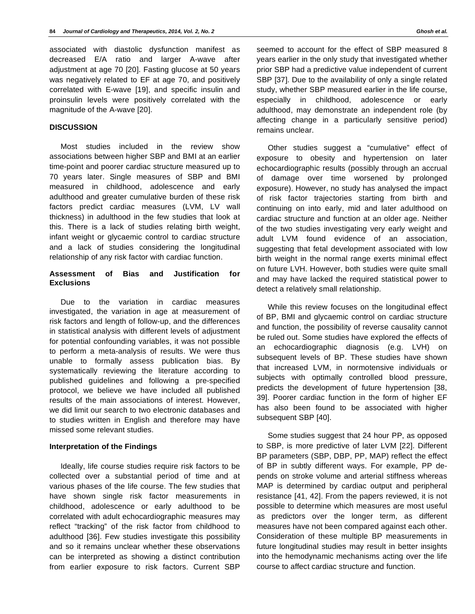associated with diastolic dysfunction manifest as decreased E/A ratio and larger A-wave after adjustment at age 70 [20]. Fasting glucose at 50 years was negatively related to EF at age 70, and positively correlated with E-wave [19], and specific insulin and proinsulin levels were positively correlated with the magnitude of the A-wave [20].

# **DISCUSSION**

Most studies included in the review show associations between higher SBP and BMI at an earlier time-point and poorer cardiac structure measured up to 70 years later. Single measures of SBP and BMI measured in childhood, adolescence and early adulthood and greater cumulative burden of these risk factors predict cardiac measures (LVM, LV wall thickness) in adulthood in the few studies that look at this. There is a lack of studies relating birth weight, infant weight or glycaemic control to cardiac structure and a lack of studies considering the longitudinal relationship of any risk factor with cardiac function.

#### **Assessment of Bias and Justification for Exclusions**

Due to the variation in cardiac measures investigated, the variation in age at measurement of risk factors and length of follow-up, and the differences in statistical analysis with different levels of adjustment for potential confounding variables, it was not possible to perform a meta-analysis of results. We were thus unable to formally assess publication bias. By systematically reviewing the literature according to published guidelines and following a pre-specified protocol, we believe we have included all published results of the main associations of interest. However, we did limit our search to two electronic databases and to studies written in English and therefore may have missed some relevant studies.

# **Interpretation of the Findings**

Ideally, life course studies require risk factors to be collected over a substantial period of time and at various phases of the life course. The few studies that have shown single risk factor measurements in childhood, adolescence or early adulthood to be correlated with adult echocardiographic measures may reflect "tracking" of the risk factor from childhood to adulthood [36]. Few studies investigate this possibility and so it remains unclear whether these observations can be interpreted as showing a distinct contribution from earlier exposure to risk factors. Current SBP

seemed to account for the effect of SBP measured 8 years earlier in the only study that investigated whether prior SBP had a predictive value independent of current SBP [37]. Due to the availability of only a single related study, whether SBP measured earlier in the life course, especially in childhood, adolescence or early adulthood, may demonstrate an independent role (by affecting change in a particularly sensitive period) remains unclear.

Other studies suggest a "cumulative" effect of exposure to obesity and hypertension on later echocardiographic results (possibly through an accrual of damage over time worsened by prolonged exposure). However, no study has analysed the impact of risk factor trajectories starting from birth and continuing on into early, mid and later adulthood on cardiac structure and function at an older age. Neither of the two studies investigating very early weight and adult LVM found evidence of an association, suggesting that fetal development associated with low birth weight in the normal range exerts minimal effect on future LVH. However, both studies were quite small and may have lacked the required statistical power to detect a relatively small relationship.

While this review focuses on the longitudinal effect of BP, BMI and glycaemic control on cardiac structure and function, the possibility of reverse causality cannot be ruled out. Some studies have explored the effects of an echocardiographic diagnosis (e.g. LVH) on subsequent levels of BP. These studies have shown that increased LVM, in normotensive individuals or subjects with optimally controlled blood pressure, predicts the development of future hypertension [38, 39]. Poorer cardiac function in the form of higher EF has also been found to be associated with higher subsequent SBP [40].

Some studies suggest that 24 hour PP, as opposed to SBP, is more predictive of later LVM [22]. Different BP parameters (SBP, DBP, PP, MAP) reflect the effect of BP in subtly different ways. For example, PP depends on stroke volume and arterial stiffness whereas MAP is determined by cardiac output and peripheral resistance [41, 42]. From the papers reviewed, it is not possible to determine which measures are most useful as predictors over the longer term, as different measures have not been compared against each other. Consideration of these multiple BP measurements in future longitudinal studies may result in better insights into the hemodynamic mechanisms acting over the life course to affect cardiac structure and function.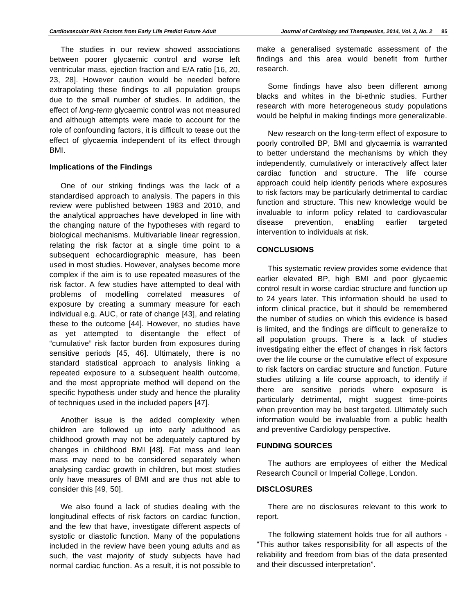The studies in our review showed associations between poorer glycaemic control and worse left ventricular mass, ejection fraction and E/A ratio [16, 20, 23, 28]. However caution would be needed before extrapolating these findings to all population groups due to the small number of studies. In addition, the effect of *long-term* glycaemic control was not measured and although attempts were made to account for the role of confounding factors, it is difficult to tease out the effect of glycaemia independent of its effect through BMI.

#### **Implications of the Findings**

One of our striking findings was the lack of a standardised approach to analysis. The papers in this review were published between 1983 and 2010, and the analytical approaches have developed in line with the changing nature of the hypotheses with regard to biological mechanisms. Multivariable linear regression, relating the risk factor at a single time point to a subsequent echocardiographic measure, has been used in most studies. However, analyses become more complex if the aim is to use repeated measures of the risk factor. A few studies have attempted to deal with problems of modelling correlated measures of exposure by creating a summary measure for each individual e.g. AUC, or rate of change [43], and relating these to the outcome [44]. However, no studies have as yet attempted to disentangle the effect of "cumulative" risk factor burden from exposures during sensitive periods [45, 46]. Ultimately, there is no standard statistical approach to analysis linking a repeated exposure to a subsequent health outcome, and the most appropriate method will depend on the specific hypothesis under study and hence the plurality of techniques used in the included papers [47].

Another issue is the added complexity when children are followed up into early adulthood as childhood growth may not be adequately captured by changes in childhood BMI [48]. Fat mass and lean mass may need to be considered separately when analysing cardiac growth in children, but most studies only have measures of BMI and are thus not able to consider this [49, 50].

We also found a lack of studies dealing with the longitudinal effects of risk factors on cardiac function, and the few that have, investigate different aspects of systolic or diastolic function. Many of the populations included in the review have been young adults and as such, the vast majority of study subjects have had normal cardiac function. As a result, it is not possible to

make a generalised systematic assessment of the findings and this area would benefit from further research.

Some findings have also been different among blacks and whites in the bi-ethnic studies. Further research with more heterogeneous study populations would be helpful in making findings more generalizable.

New research on the long-term effect of exposure to poorly controlled BP, BMI and glycaemia is warranted to better understand the mechanisms by which they independently, cumulatively or interactively affect later cardiac function and structure. The life course approach could help identify periods where exposures to risk factors may be particularly detrimental to cardiac function and structure. This new knowledge would be invaluable to inform policy related to cardiovascular disease prevention, enabling earlier targeted intervention to individuals at risk.

#### **CONCLUSIONS**

This systematic review provides some evidence that earlier elevated BP, high BMI and poor glycaemic control result in worse cardiac structure and function up to 24 years later. This information should be used to inform clinical practice, but it should be remembered the number of studies on which this evidence is based is limited, and the findings are difficult to generalize to all population groups. There is a lack of studies investigating either the effect of changes in risk factors over the life course or the cumulative effect of exposure to risk factors on cardiac structure and function. Future studies utilizing a life course approach, to identify if there are sensitive periods where exposure is particularly detrimental, might suggest time-points when prevention may be best targeted. Ultimately such information would be invaluable from a public health and preventive Cardiology perspective.

# **FUNDING SOURCES**

The authors are employees of either the Medical Research Council or Imperial College, London.

#### **DISCLOSURES**

There are no disclosures relevant to this work to report.

The following statement holds true for all authors - "This author takes responsibility for all aspects of the reliability and freedom from bias of the data presented and their discussed interpretation".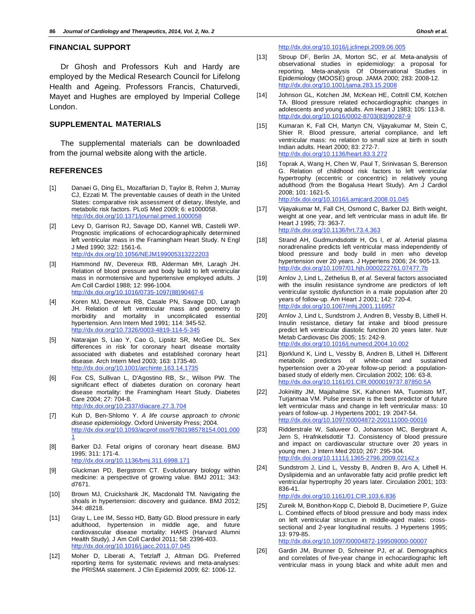## **FINANCIAL SUPPORT**

Dr Ghosh and Professors Kuh and Hardy are employed by the Medical Research Council for Lifelong Health and Ageing. Professors Francis, Chaturvedi, Mayet and Hughes are employed by Imperial College London.

# **SUPPLEMENTAL MATERIALS**

The supplemental materials can be downloaded from the journal website along with the article.

#### **REFERENCES**

- [1] Danaei G, Ding EL, Mozaffarian D, Taylor B, Rehm J, Murray CJ, Ezzati M. The preventable causes of death in the United States: comparative risk assessment of dietary, lifestyle, and metabolic risk factors. PLoS Med 2009; 6: e1000058. http://dx.doi.org/10.1371/journal.pmed.1000058
- [2] Levy D, Garrison RJ, Savage DD, Kannel WB, Castelli WP. Prognostic implications of echocardiographically determined left ventricular mass in the Framingham Heart Study. N Engl J Med 1990; 322: 1561-6. http://dx.doi.org/10.1056/NEJM199005313222203
- [3] Hammond IW, Devereux RB, Alderman MH, Laragh JH. Relation of blood pressure and body build to left ventricular mass in normotensive and hypertensive employed adults. J Am Coll Cardiol 1988; 12: 996-1004. http://dx.doi.org/10.1016/0735-1097(88)90467-6
- [4] Koren MJ, Devereux RB, Casale PN, Savage DD, Laragh JH. Relation of left ventricular mass and geometry to morbidity and mortality in uncomplicated essential hypertension. Ann Intern Med 1991; 114: 345-52. http://dx.doi.org/10.7326/0003-4819-114-5-345
- [5] Natarajan S, Liao Y, Cao G, Lipsitz SR, McGee DL. Sex differences in risk for coronary heart disease mortality associated with diabetes and established coronary heart disease. Arch Intern Med 2003; 163: 1735-40. http://dx.doi.org/10.1001/archinte.163.14.1735
- [6] Fox CS, Sullivan L, D'Agostino RB, Sr., Wilson PW. The significant effect of diabetes duration on coronary heart disease mortality: the Framingham Heart Study. Diabetes Care 2004; 27: 704-8. http://dx.doi.org/10.2337/diacare.27.3.704
- [7] Kuh D, Ben-Shlomo Y. *A life course approach to chronic disease epidemiology*. Oxford University Press; 2004. http://dx.doi.org/10.1093/acprof:oso/9780198578154.001.000 1
- [8] Barker DJ. Fetal origins of coronary heart disease. BMJ 1995; 311: 171-4. http://dx.doi.org/10.1136/bmj.311.6998.171
- [9] Gluckman PD, Bergstrom CT. Evolutionary biology within medicine: a perspective of growing value. BMJ 2011; 343: d7671.
- [10] Brown MJ, Cruickshank JK, Macdonald TM. Navigating the shoals in hypertension: discovery and guidance. BMJ 2012; 344: d8218.
- [11] Gray L, Lee IM, Sesso HD, Batty GD. Blood pressure in early adulthood, hypertension in middle age, and future cardiovascular disease mortality: HAHS (Harvard Alumni Health Study). J Am Coll Cardiol 2011; 58: 2396-403. http://dx.doi.org/10.1016/j.jacc.2011.07.045
- [12] Moher D, Liberati A, Tetzlaff J, Altman DG. Preferred reporting items for systematic reviews and meta-analyses: the PRISMA statement. J Clin Epidemiol 2009; 62: 1006-12.

http://dx.doi.org/10.1016/j.jclinepi.2009.06.005

- [13] Stroup DF, Berlin JA, Morton SC, *et al*. Meta-analysis of observational studies in epidemiology: a proposal for reporting. Meta-analysis Of Observational Studies in Epidemiology (MOOSE) group. JAMA 2000; 283: 2008-12. http://dx.doi.org/10.1001/jama.283.15.2008
- [14] Johnson GL, Kotchen JM, McKean HE, Cottrill CM, Kotchen TA. Blood pressure related echocardiographic changes in adolescents and young adults. Am Heart J 1983; 105: 113-8. http://dx.doi.org/10.1016/0002-8703(83)90287-9
- [15] Kumaran K, Fall CH, Martyn CN, Vijayakumar M, Stein C, Shier R. Blood pressure, arterial compliance, and left ventricular mass: no relation to small size at birth in south Indian adults. Heart 2000; 83: 272-7. http://dx.doi.org/10.1136/heart.83.3.272
- [16] Toprak A, Wang H, Chen W, Paul T, Srinivasan S, Berenson G. Relation of childhood risk factors to left ventricular hypertrophy (eccentric or concentric) in relatively young adulthood (from the Bogalusa Heart Study). Am J Cardiol 2008; 101: 1621-5. http://dx.doi.org/10.1016/j.amjcard.2008.01.045
- [17] Vijayakumar M, Fall CH, Osmond C, Barker DJ. Birth weight, weight at one year, and left ventricular mass in adult life. Br Heart J 1995; 73: 363-7. http://dx.doi.org/10.1136/hrt.73.4.363
- [18] Strand AH, Gudmundsdottir H, Os I, *et al*. Arterial plasma noradrenaline predicts left ventricular mass independently of blood pressure and body build in men who develop hypertension over 20 years. J Hypertens 2006; 24: 905-13. http://dx.doi.org/10.1097/01.hjh.0000222761.07477.7b
- [19] Arnlov J, Lind L, Zethelius B, *et al*. Several factors associated with the insulin resistance syndrome are predictors of left ventricular systolic dysfunction in a male population after 20 years of follow-up. Am Heart J 2001; 142: 720-4. http://dx.doi.org/10.1067/mhj.2001.116957
- [20] Arnlov J, Lind L, Sundstrom J, Andren B, Vessby B, Lithell H. Insulin resistance, dietary fat intake and blood pressure predict left ventricular diastolic function 20 years later. Nutr Metab Cardiovasc Dis 2005; 15: 242-9. http://dx.doi.org/10.1016/j.numecd.2004.10.002
- [21] Bjorklund K, Lind L, Vessby B, Andren B, Lithell H. Different metabolic predictors of white-coat and sustained hypertension over a 20-year follow-up period: a populationbased study of elderly men. Circulation 2002; 106: 63-8. http://dx.doi.org/10.1161/01.CIR.0000019737.87850.5A
- [22] Jokiniitty JM, Majahalme SK, Kahonen MA, Tuomisto MT, Turjanmaa VM. Pulse pressure is the best predictor of future left ventricular mass and change in left ventricular mass: 10 years of follow-up. J Hypertens 2001; 19: 2047-54. http://dx.doi.org/10.1097/00004872-200111000-00016
- [23] Ridderstrale W, Saluveer O, Johansson MC, Bergbrant A, Jern S, Hrafnkelsdottir TJ. Consistency of blood pressure and impact on cardiovascular structure over 20 years in young men. J Intern Med 2010; 267: 295-304. http://dx.doi.org/10.1111/j.1365-2796.2009.02142
- [24] Sundstrom J, Lind L, Vessby B, Andren B, Aro A, Lithell H. Dyslipidemia and an unfavorable fatty acid profile predict left ventricular hypertrophy 20 years later. Circulation 2001; 103: 836-41. http://dx.doi.org/10.1161/01.CIR.103.6.836
- [25] Zureik M, Bonithon-Kopp C, Diebold B, Ducimetiere P, Guize L. Combined effects of blood pressure and body mass index on left ventricular structure in middle-aged males: crosssectional and 2-year longitudinal results. J Hypertens 1995; 13: 979-85. http://dx.doi.org/10.1097/00004872-199509000-00007
- [26] Gardin JM, Brunner D, Schreiner PJ, *et al*. Demographics and correlates of five-year change in echocardiographic left ventricular mass in young black and white adult men and